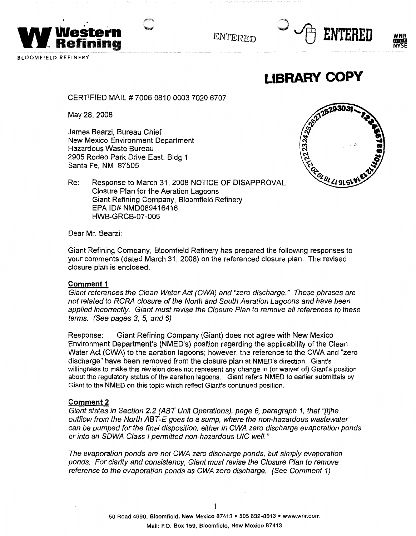

ENTERED





**LIBRARY COPY** 

CERTIFIED MAIL# 7006 0810 0003 7020 6707

May 28, 2008

James Bearzi, Bureau Chief New Mexico Environment Department Hazardous Waste Bureau 2905 Rodeo Park Drive East, Bldg 1 Santa Fe, NM 87505



Re: Response to March 31, 2008 NOTICE OF DISAPPROVAL Closure Plan for the Aeration Lagoons Giant Refining Company, Bloomfield Refinery EPA ID# NMD089416416 HWB-GRCB-07-006

Dear Mr. Bearzi:

Giant Refining Company, Bloomfield Refinery has prepared the following responses to your comments (dated March 31, 2008) on the referenced closure plan. The revised closure plan is enclosed.

### **Comment 1**

Giant references the Clean Water Act (CWA) and "zero discharge." These phrases are not related to RCRA closure of the North and South Aeration Lagoons and have been applied incorrectly. Giant must revise the Closure Plan to remove all references to these terms. (See pages 3, 5, and 6)

Response: Giant Refining Company (Giant) does not agree with New Mexico Environment Department's (NMED's) position regarding the applicability of the Clean Water Act (CWA) to the aeration lagoons; however, the reference to the CWA and "zero discharge" have been removed from the closure plan at NMED's direction. Giant's willingness to make this revision does not represent any change in (or waiver of) Giant's position about the regulatory status of the aeration lagoons. Giant refers NMED to earlier submittals by Giant to the NMED on this topic which reflect Giant's continued position.

### **Comment2**

Giant states in Section 2.2 (ABT Unit Operations), page 6, paragraph 1, that "[t]he outflow from the North ABT-E goes to a sump, where the non-hazardous wastewater can be pumped for the final disposition, either in CWA zero discharge evaporation ponds or into an SOWA Class I permitted non-hazardous UIC well."

The evaporation ponds are not CWA zero discharge ponds, but simply evaporation ponds. For clarity and consistency, Giant must revise the Closure Plan to remove reference to the evaporation ponds as CWA zero discharge. (See Comment 1)

 $\mathbf{1}$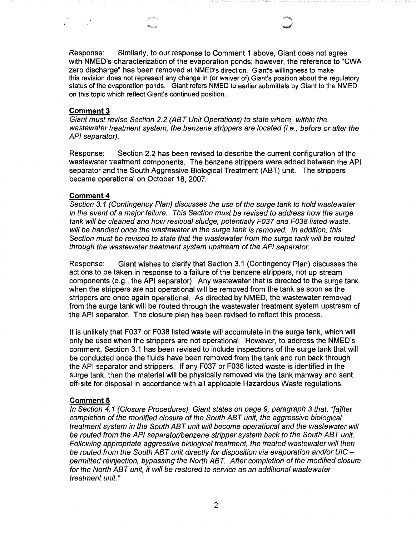Response: Similarly, to our response to Comment 1 above, Giant does not agree with NMED's characterization of the evaporation ponds; however, the reference to "CWA zero discharge" has been removed at NMED's direction. Giant's willingness to make this revision does not represent any change in (or waiver of) Giant's position about the regulatory status of the evaporation ponds. Giant refers NMED to earlier submittals by Giant to the NMED on this topic which reflect Giant's continued position.

### **Comment3**

 $\label{eq:2.1} \mathcal{L} = \mathcal{L} \mathcal{L} = \mathcal{L} \mathcal{L} \mathcal{L}$ 

Giant must revise Section 2.2 (ABT Unit Operations) to state where, within the wastewater treatment system, the benzene strippers are located (i.e., before or after the API separator).

Response: Section 2.2 has been revised to describe the current configuration of the wastewater treatment components. The benzene strippers were added between the API separator and the South Aggressive Biological Treatment (ABT) unit. The strippers became operational on October 18, 2007.

### **Comment 4**

Section 3.1 (Contingency Plan) discusses the use of the surge tank to hold wastewater in the event of a major failure. This Section must be revised to address how the surge tank will be cleaned and how residual sludge, potentially F037 and F038 listed waste, will be handled once the wastewater in the surge tank is removed. In addition, this Section must be revised to state that the wastewater from the surge tank will be routed through the wastewater treatment system upstream of the API separator.

Response: Giant wishes to clarify that Section 3.1 (Contingency Plan) discusses the actions to be taken in response to a failure of the benzene strippers, not up-stream components (e.g., the API separator). Any wastewater that is directed to the surge tank when the strippers are not operational will be removed from the tank as soon as the strippers are once again operational. As directed by NMED, the wastewater removed from the surge tank will be routed through the wastewater treatment system upstream of the API separator. The closure plan has been revised to reflect this process.

It is unlikely that F037 or F038 listed waste will accumulate in the surge tank, which will only be used when the strippers are not operational. However, to address the NMED's comment, Section 3.1 has been revised to include inspections of the surge tank that will be conducted once the fluids have been removed from the tank and run back through the API separator and strippers. If any F037 or F038 listed waste is identified in the surge tank, then the material will be physically removed via the tank manway and sent off-site for disposal in accordance with all applicable Hazardous Waste regulations.

### **Comment 5**

In Section 4. 1 (Closure Procedures), Giant states on page 9, paragraph 3 that, "[a]fter completion of the modified closure of the South ABT unit, the aggressive biological treatment system in the South ABT unit will become operational and the wastewater will be routed from the API separator/benzene stripper system back to the South ABT unit. Following appropriate aggressive biological treatment, the treated wastewater will then be routed from the South ABT unit directly for disposition via evaporation and/or UIC – permitted reinjection, bypassing the North ABT. After completion of the modified closure for the North ABT unit, it will be restored to service as an additional wastewater treatment unit."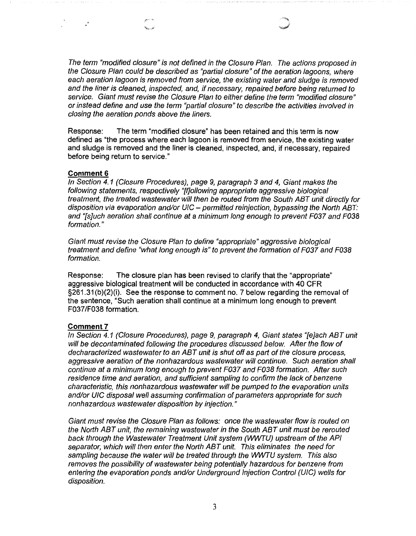The term "modified closure" is not defined in the Closure Plan. The actions proposed in the Closure Plan could be described as "partial closure" of the aeration lagoons, where each aeration lagoon is removed from service, the existing water and sludge is removed and the liner is cleaned, inspected, and, if necessary, repaired before being returned to service. Giant must revise the Closure Plan to either define the term "modified closure" or instead define and use the term "partial closure" to describe the activities involved in closing the aeration ponds above the liners.

Response: The term "modified closure" has been retained and this term is now defined as "the process where each lagoon is removed from service, the existing water and sludge is removed and the liner is cleaned, inspected, and, if necessary, repaired before being return to service."

### **Comment&**

In Section 4. 1 (Closure Procedures), page 9, paragraph 3 and 4, Giant makes the following statements, respectively "[f]ollowing appropriate aggressive biological treatment, the treated wastewater will then be routed from the South ABT unit directly for disposition via evaporation and/or  $U/C$  – permitted reinjection, bypassing the North ABT: and "[s]uch aeration shall continue at a minimum long enough to prevent F037 and F038 formation."

Giant must revise the Closure Plan to define "appropriate" aggressive biological treatment and define "what long enough is" to prevent the formation of F037 and F038 formation.

Response: The closure plan has been revised to clarify that the "appropriate" aggressive biological treatment will be conducted in accordance with 40 CFR §261.31(b)(2)(i). See the response to comment no. 7 below regarding the removal of the sentence, "Such aeration shall continue at a minimum long enough to prevent F037/F038 formation.

### **Comment 7**

In Section 4. 1 (Closure Procedures), page 9, paragraph 4, Giant states "[e]ach ABT unit will be decontaminated following the procedures discussed below. After the flow of decharacterized wastewater to an ABT unit is shut off as part of the closure process, aggressive aeration of the nonhazardous wastewater will continue. Such aeration shall continue at a minimum long enough to prevent F037 and F038 formation. After such residence time and aeration, and sufficient sampling to confirm the lack of benzene characteristic, this nonhazardous wastewater will be pumped to the evaporation units and/or UIC disposal well assuming confirmation of parameters appropriate for such nonhazardous wastewater disposition by injection."

Giant must revise the Closure Plan as follows: once the wastewater flow is routed on the North ABT unit, the remaining wastewater in the South ABT unit must be rerouted back through the Wastewater Treatment Unit system (WWTU) upstream of the AP/ separator, which will then enter the North ABT unit. This eliminates the need for sampling because the water will be treated through the WWTU system. This also removes the possibility of wastewater being potentially hazardous for benzene from entering the evaporation ponds and/or Underground Injection Control (UIC) wells for disposition.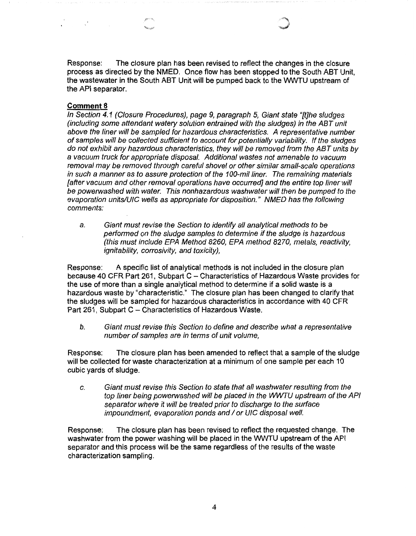Response: The closure plan has been revised to reflect the changes in the closure process as directed by the NMED. Once flow has been stopped to the South ABT Unit, the wastewater in the South ABT Unit will be pumped back to the WWTU upstream of the API separator.

### **Comment 8**

 $\label{eq:2} \frac{1}{\sqrt{2}}\int_{0}^{\infty}\frac{1}{\sqrt{2}}\left(\frac{1}{\sqrt{2}}\right)^{2}dx\leq\frac{1}{\sqrt{2}}\int_{0}^{\infty}\frac{1}{\sqrt{2}}\left(\frac{1}{\sqrt{2}}\right)^{2}dx.$ 

In Section 4. 1 (Closure Procedures), page 9, paragraph 5, Giant state "[t]he sludges (including some attendant watery solution entrained with the sludges) in the ABT unit above the liner will be sampled for hazardous characteristics. A representative number of samples will be collected sufficient to account for potentially variability. *If* the sludges do not exhibit any hazardous characteristics, they will be removed from the ABT units by a vacuum truck for appropriate disposal. Additional wastes not amenable to vacuum removal may be removed through careful shovel or other similar small-scale operations in such a manner as to assure protection of the 100-mil liner. The remaining materials [after vacuum and other removal operations have occurred] and the entire top liner will be powerwashed with water. This nonhazardous washwater will then be pumped to the evaporation units/UIC wells as appropriate for disposition." NMED has the following comments:

a. Giant must revise the Section to identify all analytical methods to be performed on the sludge samples to determine if the sludge is hazardous (this must include EPA Method 8260, EPA method 8270, metals, reactivity, ignitability, corrosivity, and toxicity),

Response: A specific list of analytical methods is not included in the closure plan because 40 CFR Part 261, Subpart C - Characteristics of Hazardous Waste provides for the use of more than a single analytical method to determine if a solid waste is a hazardous waste by "characteristic." The closure plan has been changed to clarify that the sludges will be sampled for hazardous characteristics in accordance with 40 CFR Part 261, Subpart C - Characteristics of Hazardous Waste.

b. Giant must revise this Section to define and describe what a representative number of samples are in terms of unit volume,

Response: The closure plan has been amended to reflect that a sample of the sludge will be collected for waste characterization at a minimum of one sample per each 10 cubic yards of sludge.

c. Giant must revise this Section to state that all washwater resulting from the top liner being powerwashed will be placed in the WWTU upstream of the API separator where it will be treated prior to discharge to the surface impoundment, evaporation ponds and *I* or U/C disposal well.

Response: The closure plan has been revised to reflect the requested change. The washwater from the power washing will be placed in the WWTU upstream of the API separator and this process will be the same regardless of the results of the waste characterization sampling.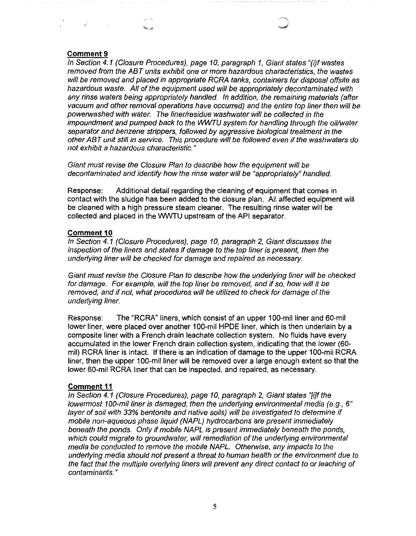### **Comment 9**

and the state of the

In Section 4.1 (Closure Procedures}, page 10, paragraph 1, Giant states "(i}f wastes removed from the ABT units exhibit one or more hazardous characteristics, the wastes will be removed and placed in appropriate RCRA tanks, containers for disposal offsite as hazardous waste. All of the equipment used will be appropriately decontaminated with any rinse waters being appropriately handled. In addition, the remaining materials (after vacuum and other removal operations have occurred) and the entire top liner then will be powerwashed with water. The liner/residue washwater will be collected in the impoundment and pumped back to the WWTU system for handling through the oil/water separator and benzene strippers, followed by aggressive biological treatment in the other ABT unit still in service. This procedure will be followed even if the washwaters do not exhibit a hazardous characteristic."

Giant must revise the Closure Plan to describe how the equipment will be decontaminated and identify how the rinse water will be "appropriately" handled.

Response: Additional detail regarding the cleaning of equipment that comes in contact with the sludge has been added to the closure plan. All affected equipment will be cleaned with a high pressure steam cleaner. The resulting rinse water will be collected and placed in the VVWTU upstream of the API separator.

### **Comment 10**

In Section 4.1 (Closure Procedures), page 10, paragraph 2, Giant discusses the inspection of the liners and states if damage to the top liner is present, then the underlying liner will be checked for damage and repaired as necessary.

Giant must revise the Closure Plan to describe how the underlying liner will be checked for damage. For example, will the top liner be removed, and if so, how will it be removed, and if not, what procedures will be utilized to check for damage of the underlying liner.

Response: The "RCRA" liners, which consist of an upper 100-mil liner and 60-mil lower liner, were placed over another 100-mil HPDE liner, which is then underlain by a composite liner with a French drain leachate collection system. No fluids have every accumulated in the lower French drain collection system, indicating that the lower (60 mil) RCRA liner is intact. If there is an indication of damage to the upper 100-mil RCRA liner, then the upper 100-mil liner will be removed over a large enough extent so that the lower 60-mil RCRA liner that can be inspected, and repaired, as necessary.

#### **Comment 11**

In Section 4.1 (Closure Procedures), page 10, paragraph 2, Giant states "{i]f the lowermost 100-mil liner is damaged, then the underlying environmental media (e.g., 6" layer of soil with 33% bentonite and native soils) will be investigated to determine if mobile non-aqueous phase liquid (NAPL) hydrocarbons are present immediately beneath the ponds. Only if mobile NAPL is present immediately beneath the ponds, which could migrate to groundwater, will remediation of the underlying environmental media be conducted to remove the mobile NAPL. Otherwise, any impacts to the underlying media should not present a threat to human health or the environment due to the fact that the multiple overlying liners will prevent any direct contact to or leaching of contaminants. "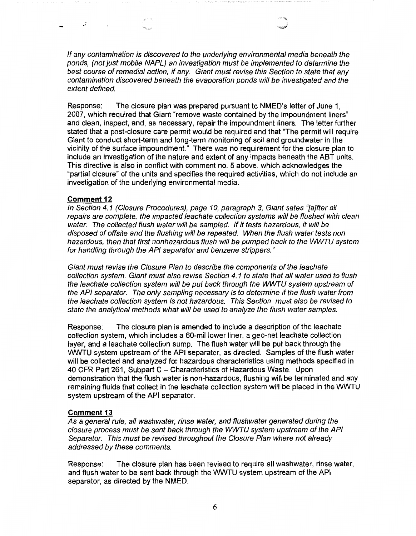If any contamination is discovered to the underlying environmental media beneath the ponds, (not just mobile NAPL) an investigation must be implemented to determine the best course of remedial action, if any. Giant must revise this Section to state that any contamination discovered beneath the evaporation ponds will be investigated and the extent defined.

Response: The closure plan was prepared pursuant to NMED's letter of June 1, 2007, which required that Giant "remove waste contained by the impoundment liners" and clean, inspect, and, as necessary, repair the impoundment liners. The letter further stated that a post-closure care permit would be required and that "The permit will require Giant to conduct short-term and long-term monitoring of soil and groundwater in the vicinity of the surface impoundment." There was no requirement for the closure plan to include an investigation of the nature and extent of any impacts beneath the ABT units. This directive is also in conflict with comment no. 5 above, which acknowledges the "partial closure" of the units and specifies the required activities, which do not include an investigation of the underlying environmental media.

### **Comment 12**

.:

.<br>Nasiri ilin

In Section 4.1 (Closure Procedures), page 10, paragraph 3, Giant sates "[a]fter all repairs are complete, the impacted leachate collection systems will be flushed with clean water. The collected flush water will be sampled. If it tests hazardous, it will be disposed of offsite and the flushing will be repeated. When the flush water tests non hazardous, then that first nonhazardous flush will be pumped back to the WWTU system for handling through the API separator and benzene strippers."

Giant must revise the Closure Plan to describe the components of the leachate collection system. Giant must also revise Section 4. 1 to state that all water used to flush the leachate collection system will be put back through the WWTU system upstream of the API separator. The only sampling necessary is to determine if the flush water from the leachate collection system is not hazardous. This Section must also be revised to state the analytical methods what will be used to analyze the flush water samples.

Response: The closure plan is amended to include a description of the leachate collection system, which includes a 60-mil lower liner, a geo-net leachate collection layer, and a leachate collection sump. The flush water will be put back through the WWTU system upstream of the API separator, as directed. Samples of the flush water will be collected and analyzed for hazardous characteristics using methods specified in 40 CFR Part 261, Subpart C - Characteristics of Hazardous Waste. Upon demonstration that the flush water is non-hazardous, flushing will be terminated and any remaining fluids that collect in the leachate collection system will be placed in the WWTU system upstream of the API separator.

### **Comment 13**

As a general rule, all washwater, rinse water, and flushwater generated during the closure process must be sent back through the WWTU system upstream of the AP/ Separator. This must be revised throughout the Closure Plan where not already addressed by these comments.

Response: The closure plan has been revised to require all washwater, rinse water, and flush water to be sent back through the WWTU system upstream of the API separator, as directed by the NMED.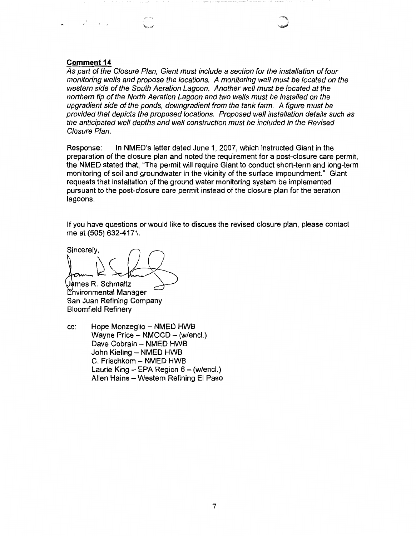### **Comment 14**

As part of the Closure Plan, Giant must include a section for the installation of four monitoring wells and propose the locations. A monitoring well must be located on the western side of the South Aeration Lagoon. Another well must be located at the northern tip of the North Aeration Lagoon and two wells must be installed on the upgradient side of the ponds, downgradient from the tank farm. A figure must be provided that depicts the proposed locations. Proposed well installation details such as the anticipated well depths and well construction must be included in the Revised Closure Plan.

Response: In NMED's letter dated June 1, 2007, which instructed Giant in the preparation of the closure plan and noted the requirement for a post-closure care permit, the NMED stated that, "The permit will require Giant to conduct short-term and long-term monitoring of soil and groundwater in the vicinity of the surface impoundment." Giant requests that installation of the ground water monitoring system be implemented pursuant to the post-closure care permit instead of the closure plan for the aeration lagoons.

If you have questions or would like to discuss the revised closure plan, please contact me at (505) 632-4171.

Sincerely,  $\downarrow$ 

Jàmes R. Schmaltz nvironmental Manager San Juan Refining Company Bloomfield Refinery

cc: Hope Monzeglio - NMED HWB Wayne Price - NMOCD - (w/encl.) Dave Cobrain - NMED HWB John Kieling - NMED HWB C. Frischkorn - NMED HWB Laurie King  $-$  EPA Region 6  $-$  (w/encl.) Allen Hains - Western Refining El Paso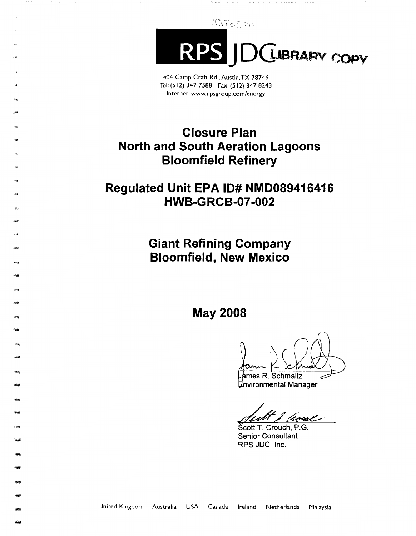ENTERED,

**CUBRARY COPY RF** 

404 Camp Craft Rd., Austin, TX 78746 Tel: (512) 347 7588 Fax: (512) 347 8243 Internet: www.rpsgroup.com/energy

## **Closure Plan North and South Aeration Lagoons Bloomfield Refinery**

### **Regulated Unit EPA ID# NMD089416416 HWB-GRCB-07-002**

,,,,.

-

-

- -98<br>-<br>-

- -

-

-

-2012<br>-<br>-2013<br>-2013 -<br>-<br>-<br>- **Giant Refining Company Bloomfield, New Mexico** 

**May 2008** 

nvironmental Manager

*Parmes R. Schmaltz*<br> *Privironmental Manager<br>
<i>Privironmental Manager*<br> *Scott T. Crouch, P.G.*<br>
Senior Consultant

Senior Consultant RPS JDC, Inc.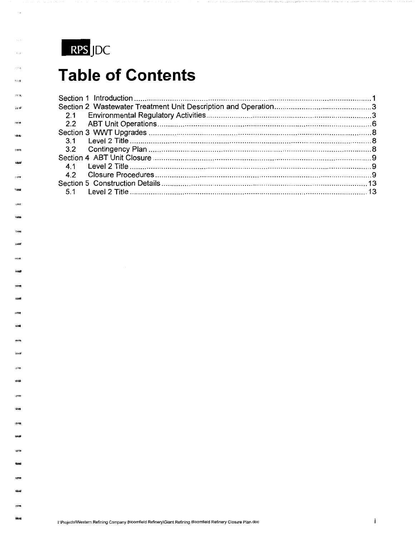

新科學

报酬  $\hat{v}$  is  $\hat{b}$ 

**SW199** 

## **Table of Contents**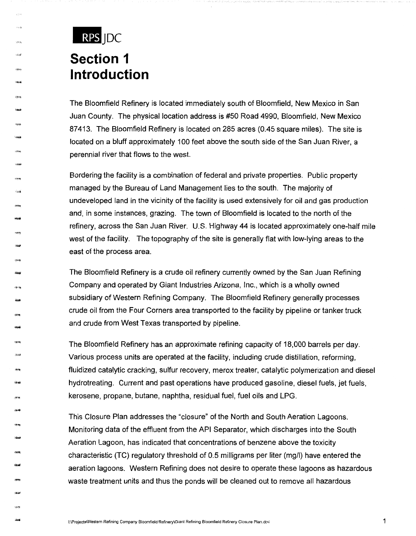# RPS JDC **Section 1 Introduction**

, ...

i dini**si** 

**Lights** 

chille<br>-<br>-<br>-

-<br>-<br>-<br>-<br>-

-<br>-<br>-<br>-<br>-<br>-

-16199)<br>-<br>-

54:59  $+8666$ 

122 (Ph<br>126 100

- -

-

ary<br>ikali

The Bloomfield Refinery is located immediately south of Bloomfield, New Mexico in San Juan County. The physical location address is #50 Road 4990, Bloomfield, New Mexico 87413. The Bloomfield Refinery is located on 285 acres (0.45 square miles). The site is located on a bluff approximately 100 feet above the south side of the San Juan River, a perennial river that flows to the west.

Bordering the facility is a combination of federal and private properties. Public property managed by the Bureau of Land Management lies to the south. The majority of undeveloped land in the vicinity of the facility is used extensively for oil and gas production and, in some instances, grazing. The town of Bloomfield is located to the north of the refinery, across the San Juan River. U.S. Highway 44 is located approximately one-half mile west of the facility. The topography of the site is generally flat with low-lying areas to the east of the process area.

The Bloomfield Refinery is a crude oil refinery currently owned by the San Juan Refining Company and operated by Giant Industries Arizona, Inc., which is a wholly owned subsidiary of Western Refining Company. The Bloomfield Refinery generally processes crude oil from the Four Corners area transported to the facility by pipeline or tanker truck and crude from West Texas transported by pipeline.

The Bloomfield Refinery has an approximate refining capacity of 18,000 barrels per day. Various process units are operated at the facility, including crude distillation, reforming, fluidized catalytic cracking, sulfur recovery, merox treater, catalytic polymerization and diesel hydrotreating. Current and past operations have produced gasoline, diesel fuels, jet fuels, kerosene, propane, butane, naphtha, residual fuel, fuel oils and LPG.

This Closure Plan addresses the "closure" of the North and South Aeration Lagoons. Monitoring data of the effluent from the API Separator, which discharges into the South Aeration Lagoon, has indicated that concentrations of benzene above the toxicity characteristic (TC) regulatory threshold of 0.5 milligrams per liter (mg/I) have entered the aeration lagoons. Western Refining does not desire to operate these lagoons as hazardous waste treatment units and thus the ponds will be cleaned out to remove all hazardous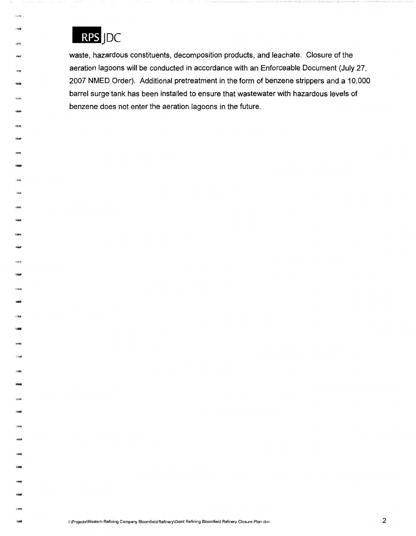

فافتقن

15000 58.88

,,..

-<br>-<br>-

------<br>2**-221** 

eren<del>y</del><br>Manub

-----<br>|-<br>|-1207

**Date** 

**waste, hazardous constituents, decomposition products, and leachate. Closure of the aeration lagoons will be conducted in accordance with an Enforceable Document (July 27, 2007 NMED Order). Additional pretreatment in the form of benzene strippers and a 10,000 barrel surge tank has been installed to ensure that wastewater with hazardous levels of benzene does not enter the aeration lagoons in the future.**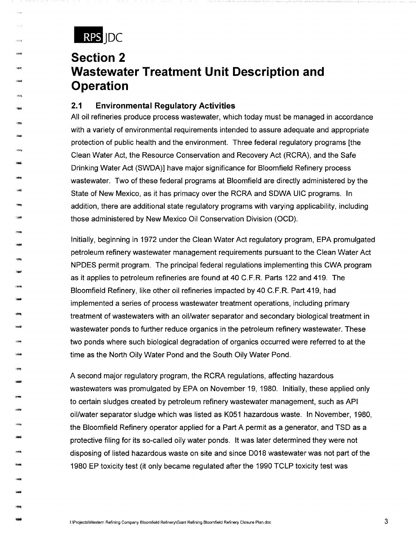

-1999<br>-<br>-<br>-

.<br>Vite

**Figures** 

-- -

**Sept** 

 $1.386$ 

-

"""

- -

-

-

-

- 1119<br>1120

- \*\*\*\*<br>4466

## **Section 2 Wastewater Treatment Unit Description and Operation**

### **2.1 Environmental Regulatory Activities**

All oil refineries produce process wastewater, which today must be managed in accordance with a variety of environmental requirements intended to assure adequate and appropriate protection of public health and the environment. Three federal regulatory programs [the Clean Water Act, the Resource Conservation and Recovery Act (RCRA), and the Safe Drinking Water Act (SWDA)] have major significance for Bloomfield Refinery process wastewater. Two of these federal programs at Bloomfield are directly administered by the State of New Mexico, as it has primacy over the RCRA and SOWA UIC programs. In addition, there are additional state regulatory programs with varying applicability, including those administered by New Mexico Oil Conservation Division (OCD).

Initially, beginning in 1972 under the Clean Water Act regulatory program, EPA promulgated petroleum refinery wastewater management requirements pursuant to the Clean Water Act NPDES permit program. The principal federal regulations implementing this CWA program as it applies to petroleum refineries are found at 40 C.F.R. Parts 122 and 419. The Bloomfield Refinery, like other oil refineries impacted by 40 C.F.R. Part 419, had implemented a series of process wastewater treatment operations, including primary treatment of wastewaters with an oil/water separator and secondary biological treatment in wastewater ponds to further reduce organics in the petroleum refinery wastewater. These two ponds where such biological degradation of organics occurred were referred to at the time as the North Oily Water Pond and the South Oily Water Pond.

A second major regulatory program, the RCRA regulations, affecting hazardous wastewaters was promulgated by EPA on November 19, 1980. Initially, these applied only to certain sludges created by petroleum refinery wastewater management, such as API oil/water separator sludge which was listed as K051 hazardous waste. In November, 1980, the Bloomfield Refinery operator applied for a Part A permit as a generator, and TSO as a protective filing for its so-called oily water ponds. It was later determined they were not disposing of listed hazardous waste on site and since 0018 wastewater was not part of the 1980 EP toxicity test (it only became regulated after the 1990 TCLP toxicity test was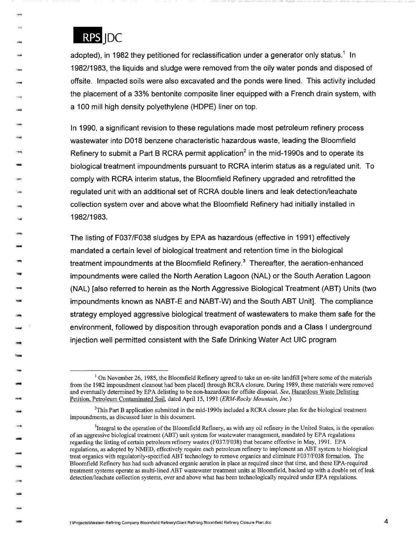

-

- -

----<br>\*\*\*<br>------

-9<del>99</del><br>1946

-

-1914)<br>**-1914)**<br>-

-<br>-<br>------<br>|-<br>|-----

·-

adopted), in 1982 they petitioned for reclassification under a generator only status.<sup>1</sup> In 1982/1983, the liquids and sludge were removed from the oily water ponds and disposed of offsite. Impacted soils were also excavated and the ponds were lined. This activity included the placement of a 33% bentonite composite liner equipped with a French drain system, with a 100 mill high density polyethylene (HOPE) liner on top.

In 1990, a significant revision to these regulations made most petroleum refinery process wastewater into D018 benzene characteristic hazardous waste, leading the Bloomfield Refinery to submit a Part B RCRA permit application<sup>2</sup> in the mid-1990s and to operate its biological treatment impoundments pursuant to RCRA interim status as a regulated unit. To comply with RCRA interim status, the Bloomfield Refinery upgraded and retrofitted the regulated unit with an additional set of RCRA double liners and leak detection/leachate collection system over and above what the Bloomfield Refinery had initially installed in 1982/1983.

The listing of F037/F038 sludges by EPA as hazardous (effective in 1991) effectively mandated a certain level of biological treatment and retention time in the biological treatment impoundments at the Bloomfield Refinery.<sup>3</sup> Thereafter, the aeration-enhanced impoundments were called the North Aeration Lagoon (NAL) or the South Aeration Lagoon (NAL) [also referred to herein as the North Aggressive Biological Treatment (ABT) Units (two impoundments known as NABT-E and NABT-W) and the South ABT Unit]. The compliance strategy employed aggressive biological treatment of wastewaters to make them safe for the environment, followed by disposition through evaporation ponds and a Class I underground injection well permitted consistent with the Safe Drinking Water Act UIC program

 $1$  On November 26, 1985, the Bloomfield Refinery agreed to take an on-site landfill [where some of the materials from the 1982 impoundment cleanout had been placed] through RCRA closure. During 1989, these materials were removed and eventually determined by EPA delisting to be non-hazardous for offsite disposal. *See,* Hazardous Waste Delisting Petition, Petroleum Contaminated Soil, dated April 15, 1991 *(ERM-Rocky Mountain, Inc.)* 

<sup>2</sup> This Part B application submitted in the mid-1990s included a RCRA closure plan for the biological treatment impoundments, as discussed later in this document.

<sup>&</sup>lt;sup>3</sup>Integral to the operation of the Bloomfield Refinery, as with any oil refinery in the United States, is the operation of an aggressive biological treatment (ABT) unit system for wastewater management, mandated by EPA regulations regarding the listing of certain petroleum refinery wastes (F037/F038) that became effective in May, 1991. EPA regulations, as adopted by NMED, effectively require each petroleum refinery to implement an ABT system to biological treat organics with regulatorily-specified ABT technology to remove organics and eliminate F037/F038 formation. The Bloomfield Refinery has had such advanced organic aeration in place as required since that time, and these EPA-required treatment systems operate as multi-lined ABT wastewater treatment units at Bloomfield, backed up with a double set of leak detection/leachate collection systems, over and above what has been technologically required under EPA regulations.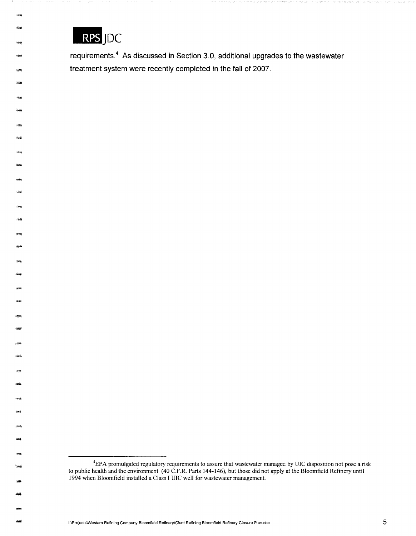

.<br>Ská

:<br>Sinah

 $1883$ 

**Tonal** 

"""

raai

-

-

-1945)<br>-<br>-<br>-

-

- -

**requirements.4 As discussed in Section 3.0, additional upgrades to the wastewater treatment system were recently completed in the fall of 2007.** 

<sup>4</sup> EPA promulgated regulatory requirements to assure that wastewater managed by UIC disposition not pose a risk to public health and the environment (40 C.F.R. Parts 144-146), but those did not apply at the Bloomfield Refinery until 1994 when Bloomfield installed a Class I UIC well for wastewater management.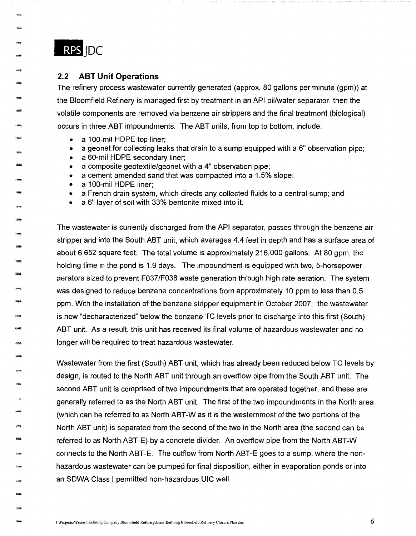

-23<br>-<br>-

-mm<br>-<br>-

"~ -

-

rman<br>Akad

enth<br>Lisal

-<br>-<br>Ro**ma** 

-!!'~

- 1.<br>3946

-

-

### **2.2 ABT Unit Operations**

The refinery process wastewater currently generated (approx. 80 gallons per minute (gpm)) at the Bloomfield Refinery is managed first by treatment in an API oil/water separator, then the volatile components are removed via benzene air strippers and the final treatment (biological) occurs in three ABT impoundments. The ABT units, from top to bottom, include:

- a 100-mil HOPE top liner;
- a geonet for collecting leaks that drain to a sump equipped with a 6" observation pipe;
- a 60-mil HOPE secondary liner;
- a composite geotextile/geonet with a 4" observation pipe;
- a cement amended sand that was compacted into a 1.5% slope;
- a 100-mil HOPE liner;
- a French drain system, which directs any collected fluids to a central sump; and
- a 6" layer of soil with 33% bentonite mixed into it.

The wastewater is currently discharged from the API separator, passes through the benzene air stripper and into the South ABT unit, which averages 4.4 feet in depth and has a surface area of about 6,652 square feet. The total volume is approximately 216,000 gallons. At 80 gpm, the holding time in the pond is 1.9 days. The impoundment is equipped with two, 5-horsepower aerators sized to prevent F037/F038 waste generation through high rate aeration. The system was designed to reduce benzene concentrations from approximately 10 ppm to less than 0.5 ppm. With the installation of the benzene stripper equipment in October 2007, the wastewater is now "decharacterized" below the benzene TC levels prior to discharge into this first (South) ABT unit. As a result, this unit has received its final volume of hazardous wastewater and no longer will be required to treat hazardous wastewater.

Wastewater from the first (South) ABT unit, which has already been reduced below TC levels by design, is routed to the North ABT unit through an overflow pipe from the South ABT unit. The second ABT unit is comprised of two impoundments that are operated together, and these are generally referred to as the North ABT unit. The first of the two impoundments in the North area (which can be referred to as North ABT-Was it is the westernmost of the two portions of the North ABT unit) is separated from the second of the two in the North area (the second can be referred to as North ABT-E) by a concrete divider. An overflow pipe from the North ABT-W connects to the North ABT-E. The outflow from North ABT-E goes to a sump, where the nonhazardous wastewater can be pumped for final disposition, either in evaporation ponds or into an SOWA Class I permitted non-hazardous UIC well.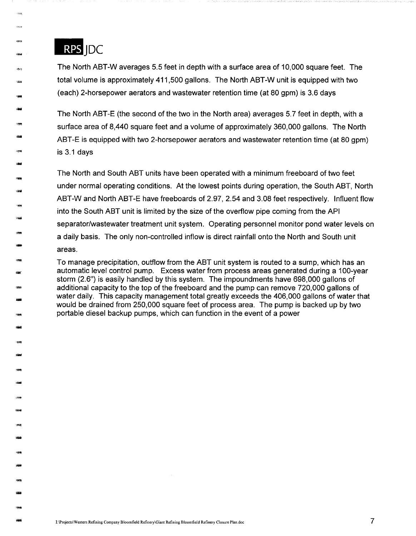

-1999<br>1994

-

,.,..

--<br>---<br>----

-

-,,.,.

- 1988<br>1980<br>1980

- -99<br>-<br>- 200

-

erang<br>Sanah

- - 1929<br>1980

-

-

The North ABT-W averages 5.5 feet in depth with a surface area of 10,000 square feet. The total volume is approximately 411,500 gallons. The North ABT-W unit is equipped with two (each) 2-horsepower aerators and wastewater retention time (at 80 gpm) is 3.6 days

The North ABT-E (the second of the two in the North area) averages 5. 7 feet in depth, with a surface area of 8,440 square feet and a volume of approximately 360,000 gallons. The North ABT-E is equipped with two 2-horsepower aerators and wastewater retention time (at 80 gpm) is 3.1 days

The North and South ABT units have been operated with a minimum freeboard of two feet under normal operating conditions. At the lowest points during operation, the South ABT, North ABT-Wand North ABT-E have freeboards of 2.97, 2.54 and 3.08 feet respectively. Influent flow into the South ABT unit is limited by the size of the overflow pipe coming from the API separator/wastewater treatment unit system. Operating personnel monitor pond water levels on a daily basis. The only non-controlled inflow is direct rainfall onto the North and South unit areas.

To manage precipitation, outflow from the ABT unit system is routed to a sump, which has an automatic level control pump. Excess water from process areas generated during a 100-year storm (2.6") is easily handled by this system. The impoundments have 698,000 gallons of additional capacity to the top of the freeboard and the pump can remove 720,000 gallons of water daily. This capacity management total greatly exceeds the 406,000 gallons of water that would be drained from 250,000 square feet of process area. The pump is backed up by two portable diesel backup pumps, which can function in the event of a power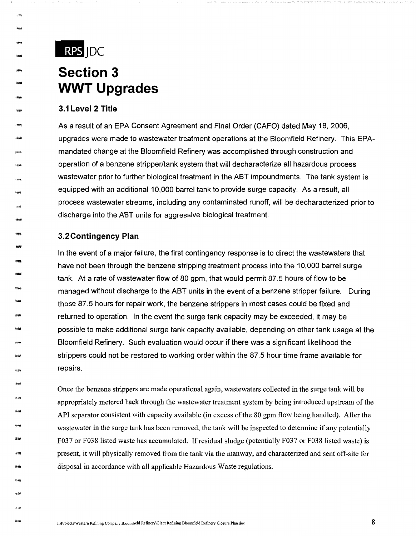

....

- - 1999<br>-<br>- 1990

-

**Gracial** 

-<br>-<br>-<br>-- 995<br>- 994

- -

羽鳴<br>1948年

.<br><del>2월</del><br>9<del>월</del>

-<br>\*<br>\*

-

- ~ ~ ~<br><del>314년</del><br>-

## **Section 3 WWT Upgrades**

### **3.1 Level 2 Title**

As a result of an EPA Consent Agreement and Final Order (CAFO) dated May 18, 2006, upgrades were made to wastewater treatment operations at the Bloomfield Refinery. This EPAmandated change at the Bloomfield Refinery was accomplished through construction and operation of a benzene stripper/tank system that will decharacterize all hazardous process wastewater prior to further biological treatment in the ABT impoundments. The tank system is equipped with an additional 10,000 barrel tank to provide surge capacity. As a result, all process wastewater streams, including any contaminated runoff, will be decharacterized prior to discharge into the ABT units for aggressive biological treatment.

### **3.2Contingency Plan**

In the event of a major failure, the first contingency response is to direct the wastewaters that have not been through the benzene stripping treatment process into the 10,000 barrel surge tank. At a rate of wastewater flow of 80 gpm, that would permit 87.5 hours of flow to be managed without discharge to the ABT units in the event of a benzene stripper failure. During those 87.5 hours for repair work, the benzene strippers in most cases could be fixed and returned to operation. In the event the surge tank capacity may be exceeded, it may be possible to make additional surge tank capacity available, depending on other tank usage at the Bloomfield Refinery. Such evaluation would occur if there was a significant likelihood the strippers could not be restored to working order within the 87.5 hour time frame available for repairs.

Once the benzene strippers are made operational again, wastewaters collected in the surge tank will be appropriately metered back through the wastewater treatment system by being introduced upstream of the API separator consistent with capacity available (in excess of the 80 gpm flow being handled). After the wastewater in the surge tank has been removed, the tank will be inspected to determine if any potentially F037 or F038 listed waste has accumulated. If residual sludge (potentially F037 or F038 listed waste) is present, it will physically removed from the tank via the manway, and characterized and sent off-site for disposal **in** accordance with all applicable Hazardous Waste regulations.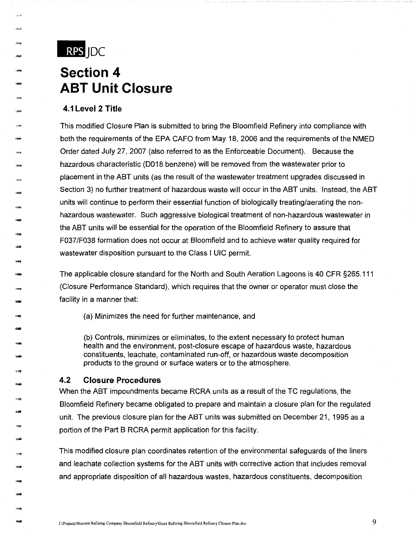

---<br>----<br>----

.....

-

-

-

-

- -

-

**- አማ<br>- አማ<br>- አማ** 

-

.....

- \*\*\*<br>-<br>-<br>-

:3세**)**<br>아이버

## **Section 4 ABT Unit Closure**

### **4.1 Level 2 Title**

This modified Closure Plan is submitted to bring the Bloomfield Refinery into compliance with both the requirements of the EPA CAFO from May 18, 2006 and the requirements of the NMED Order dated July 27, 2007 (also referred to as the Enforceable Document). Because the hazardous characteristic (D018 benzene) will be removed from the wastewater prior to placement in the ABT units (as the result of the wastewater treatment upgrades discussed in Section 3) no further treatment of hazardous waste will occur in the ABT units. Instead, the ABT units will continue to perform their essential function of biologically treating/aerating the nonhazardous wastewater. Such aggressive biological treatment of non-hazardous wastewater in the ABT units will be essential for the operation of the Bloomfield Refinery to assure that F037/F038 formation does not occur at Bloomfield and to achieve water quality required for wastewater disposition pursuant to the Class I UIC permit.

The applicable closure standard for the North and South Aeration Lagoons is 40 CFR §265.111 (Closure Performance Standard), which requires that the owner or operator must close the facility in a manner that:

(a) Minimizes the need for further maintenance, and

(b) Controls, minimizes or eliminates, to the extent necessary to protect human health and the environment, post-closure escape of hazardous waste, hazardous constituents, leachate, contaminated run-off, or hazardous waste decomposition products to the ground or surface waters or to the atmosphere.

#### **4.2 Closure Procedures**

When the ABT impoundments became RCRA units as a result of the TC regulations, the Bloomfield Refinery became obligated to prepare and maintain a closure plan for the regulated unit. The previous closure plan for the ABT units was submitted on December 21, 1995 as a portion of the Part B RCRA permit application for this facility.

This modified closure plan coordinates retention of the environmental safeguards of the liners and leachate collection systems for the ABT units with corrective action that includes removal and appropriate disposition of all hazardous wastes, hazardous constituents, decomposition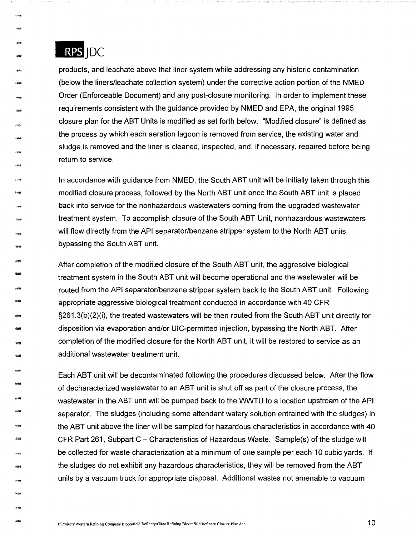

, ... 1309<br>Links<br>-

: 천역<br>-<br><del>-</del> 국내

-

·-

----<br>-<br>3000

-

- -

-

- -

-

-

-

-

-1499<br>-<br>2000

products, and leachate above that liner system while addressing any historic contamination (below the liners/leachate collection system) under the corrective action portion of the NMED Order (Enforceable Document) and any post-closure monitoring. In order to implement these requirements consistent with the guidance provided by NMED and EPA, the original 1995 closure plan for the ABT Units is modified as set forth below. "Modified closure" is defined as the process by which each aeration lagoon is removed from service, the existing water and sludge is removed and the liner is cleaned, inspected, and, if necessary, repaired before being return to service.

In accordance with guidance from NMED, the South ABT unit will be initially taken through this modified closure process, followed by the North ABT unit once the South ABT unit is placed back into service for the nonhazardous wastewaters coming from the upgraded wastewater treatment system. To accomplish closure of the South ABT Unit, nonhazardous wastewaters will flow directly from the API separator/benzene stripper system to the North ABT units, bypassing the South ABT unit.

After completion of the modified closure of the South ABT unit, the aggressive biological treatment system in the South ABT unit will become operational and the wastewater will be routed from the API separator/benzene stripper system back to the South ABT unit. Following appropriate aggressive biological treatment conducted in accordance with 40 CFR §261.3(b)(2)(i), the treated wastewaters will be then routed from the South ABT unit directly for disposition via evaporation and/or UIC-permitted injection, bypassing the North ABT. After completion of the modified closure for the North ABT unit, it will be restored to service as an additional wastewater treatment unit.

Each ABT unit will be decontaminated following the procedures discussed below. After the flow of decharacterized wastewater to an ABT unit is shut off as part of the closure process, the wastewater in the ABT unit will be pumped back to the WWTU to a location upstream of the API separator. The sludges (including some attendant watery solution entrained with the sludges) in the ABT unit above the liner will be sampled for hazardous characteristics in accordance with 40 CFR Part 261, Subpart C - Characteristics of Hazardous Waste. Sample(s) of the sludge will be collected for waste characterization at a minimum of one sample per each 10 cubic yards. If the sludges do not exhibit any hazardous characteristics, they will be removed from the ABT units by a vacuum truck for appropriate disposal. Additional wastes not amenable to vacuum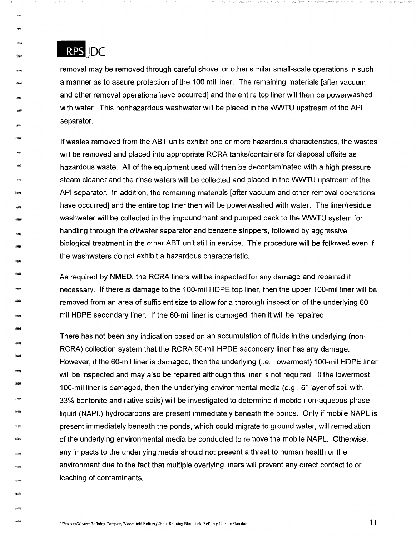

 $,$ 

-

-

-1999<br>-<br>-<br>- 1994 -

- -

riya<br>Mus

enne<br>Hand<br>-

-17224<br>-<br>-1844

## RPS IDC

removal may be removed through careful shovel or other similar small-scale operations in such a manner as to assure protection of the 100 mil liner. The remaining materials [after vacuum and other removal operations have occurred] and the entire top liner will then be powerwashed with water. This nonhazardous washwater will be placed in the WWTU upstream of the API separator.

If wastes removed from the ABT units exhibit one or more hazardous characteristics, the wastes will be removed and placed into appropriate RCRA tanks/containers for disposal offsite as hazardous waste. All of the equipment used will then be decontaminated with a high pressure steam cleaner and the rinse waters will be collected and placed in the WWTU upstream of the API separator. In addition, the remaining materials [after vacuum and other removal operations have occurred] and the entire top liner then will be powerwashed with water. The liner/residue washwater will be collected in the impoundment and pumped back to the WWTU system for handling through the oil/water separator and benzene strippers, followed by aggressive biological treatment in the other ABT unit still in service. This procedure will be followed even if the washwaters do not exhibit a hazardous characteristic.

As required by NMEO, the RCRA liners will be inspected for any damage and repaired if necessary. If there is damage to the 100-mil HOPE top liner, then the upper 100-mil liner will be removed from an area of sufficient size to allow for a thorough inspection of the underlying 60 mil HOPE secondary liner. If the 60-mil liner is damaged, then it will be repaired.

There has not been any indication based on an accumulation of fluids in the underlying (non-RCRA) collection system that the RCRA 60-mil HPOE secondary liner has any damage. However, if the 60-mil liner is damaged, then the underlying (i.e., lowermost) 100-mil HOPE liner will be inspected and may also be repaired although this liner is not required. If the lowermost 100-mil liner is damaged, then the underlying environmental media (e.g., 6" layer of soil with 33% bentonite and native soils) will be investigated to determine if mobile non-aqueous phase liquid (NAPL) hydrocarbons are present immediately beneath the ponds. Only if mobile NAPL is present immediately beneath the ponds, which could migrate to ground water, will remediation of the underlying environmental media be conducted to remove the mobile NAPL. Otherwise, any impacts to the underlying media should not present a threat to human health or the environment due to the fact that multiple overlying liners will prevent any direct contact to or leaching of contaminants.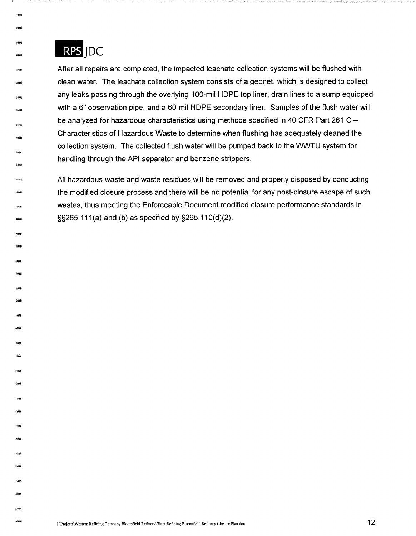

... -999<br>Childhildi<br>Childhildi

-eng<br>-kay

ishti<br>- <del>1988</del><br>- 1988

-

1240

-<br>-<br>-<br>-<br>-

-

**lliil** 

-

-

-

-

-

After all repairs are completed, the impacted leachate collection systems will be flushed with clean water. The leachate collection system consists of a geonet, which is designed to collect any leaks passing through the overlying 100-mil HOPE top liner, drain lines to a sump equipped with a 6" observation pipe, and a 60-mil HOPE secondary liner. Samples of the flush water will be analyzed for hazardous characteristics using methods specified in 40 CFR Part 261 C -Characteristics of Hazardous Waste to determine when flushing has adequately cleaned the collection system. The collected flush water will be pumped back to the WWTU system for handling through the API separator and benzene strippers.

All hazardous waste and waste residues will be removed and properly disposed by conducting the modified closure process and there will be no potential for any post-closure escape of such wastes, thus meeting the Enforceable Document modified closure performance standards in §§265.111 (a) and (b) as specified by §265.11 0(d)(2).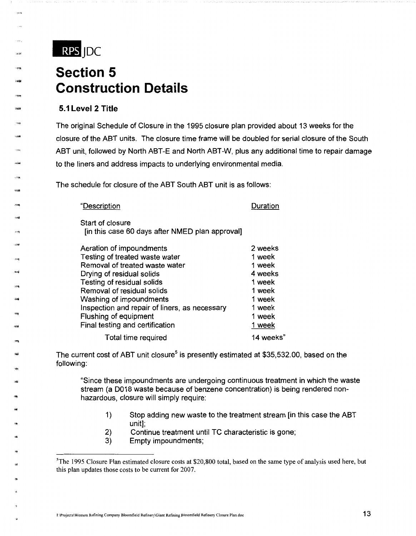

--

**Valida** 

16:08

"'

"'

,.

## **Section 5 Construction Details**

### **5.1 Level 2 Title**

The original Schedule of Closure in the 1995 closure plan provided about 13 weeks for the closure of the ABT units. The closure time frame will be doubled for serial closure of the South ABT unit, followed by North ABT-E and North ABT-W, plus any additional time to repair damage to the liners and address impacts to underlying environmental media.

The schedule for closure of the ABT South ABT unit is as follows:

| "Description                                                        | Duration |
|---------------------------------------------------------------------|----------|
| Start of closure<br>[in this case 60 days after NMED plan approval] |          |
| Aeration of impoundments                                            | 2 weeks  |
| Testing of treated waste water                                      | 1 week   |
| Removal of treated waste water                                      | 1 week   |
| Drying of residual solids                                           | 4 weeks  |
| Testing of residual solids                                          | 1 week   |
| Removal of residual solids                                          | 1 week   |
| Washing of impoundments                                             | 1 week   |

Flushing of equipment Final testing and certification

Inspection and repair of liners, as necessary

Total time required

The current cost of ABT unit closure<sup>5</sup> is presently estimated at \$35,532.00, based on the following:

"Since these impoundments are undergoing continuous treatment in which the waste stream (a D018 waste because of benzene concentration) is being rendered nonhazardous, closure will simply require:

1) Stop adding new waste to the treatment stream [in this case the ABT unit];

1 week 1 week 1 week 14 weeks"

- 2) Continue treatment until TC characteristic is gone;
- 3) Empty impoundments;

<sup>&</sup>lt;sup>5</sup>The 1995 Closure Plan estimated closure costs at \$20,800 total, based on the same type of analysis used here, but this plan updates those costs to be current for 2007.